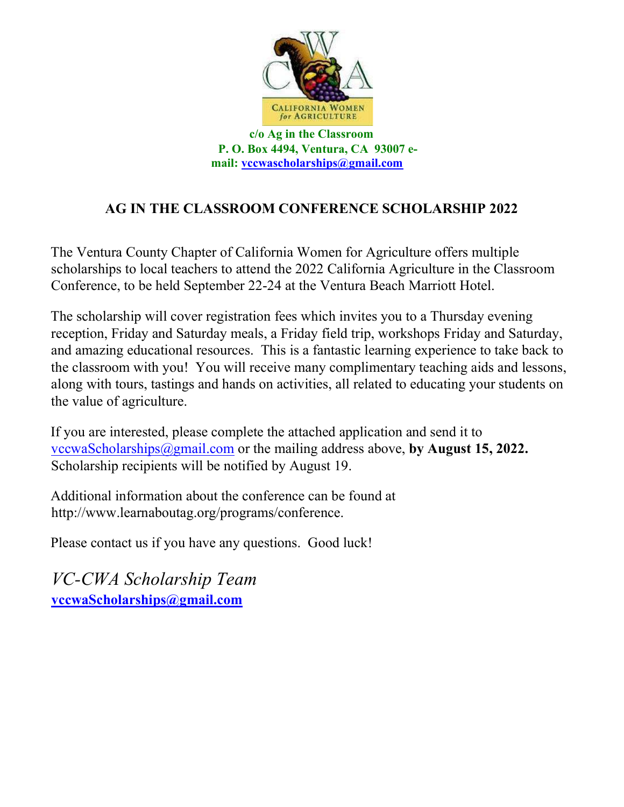

P. O. Box 4494, Ventura, CA 93007 email: vccwascholarships@gmail.com

## AG IN THE CLASSROOM CONFERENCE SCHOLARSHIP 2022

The Ventura County Chapter of California Women for Agriculture offers multiple scholarships to local teachers to attend the 2022 California Agriculture in the Classroom Conference, to be held September 22-24 at the Ventura Beach Marriott Hotel.

The scholarship will cover registration fees which invites you to a Thursday evening reception, Friday and Saturday meals, a Friday field trip, workshops Friday and Saturday, and amazing educational resources. This is a fantastic learning experience to take back to the classroom with you! You will receive many complimentary teaching aids and lessons, along with tours, tastings and hands on activities, all related to educating your students on the value of agriculture.

If you are interested, please complete the attached application and send it to vccwaScholarships@gmail.com or the mailing address above, by August 15, 2022. Scholarship recipients will be notified by August 19.

Additional information about the conference can be found at http://www.learnaboutag.org/programs/conference.

Please contact us if you have any questions. Good luck!

VC-CWA Scholarship Team vccwaScholarships@gmail.com